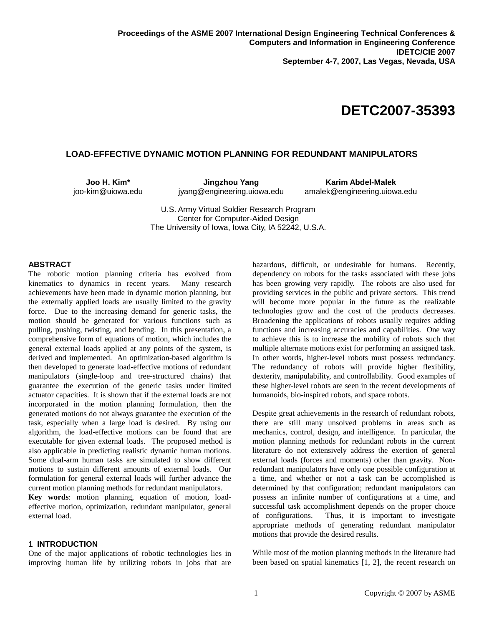# **DETC2007-35393**

## **LOAD-EFFECTIVE DYNAMIC MOTION PLANNING FOR REDUNDANT MANIPULATORS**

**Joo H. Kim\***  joo-kim@uiowa.edu

**Jingzhou Yang**  jyang@engineering.uiowa.edu

**Karim Abdel-Malek**  amalek@engineering.uiowa.edu

U.S. Army Virtual Soldier Research Program Center for Computer-Aided Design The University of Iowa, Iowa City, IA 52242, U.S.A.

#### **ABSTRACT**

The robotic motion planning criteria has evolved from kinematics to dynamics in recent years. Many research achievements have been made in dynamic motion planning, but the externally applied loads are usually limited to the gravity force. Due to the increasing demand for generic tasks, the motion should be generated for various functions such as pulling, pushing, twisting, and bending. In this presentation, a comprehensive form of equations of motion, which includes the general external loads applied at any points of the system, is derived and implemented. An optimization-based algorithm is then developed to generate load-effective motions of redundant manipulators (single-loop and tree-structured chains) that guarantee the execution of the generic tasks under limited actuator capacities. It is shown that if the external loads are not incorporated in the motion planning formulation, then the generated motions do not always guarantee the execution of the task, especially when a large load is desired. By using our algorithm, the load-effective motions can be found that are executable for given external loads. The proposed method is also applicable in predicting realistic dynamic human motions. Some dual-arm human tasks are simulated to show different motions to sustain different amounts of external loads. Our formulation for general external loads will further advance the current motion planning methods for redundant manipulators.

**Key words**: motion planning, equation of motion, loadeffective motion, optimization, redundant manipulator, general external load.

## **1 INTRODUCTION**

One of the major applications of robotic technologies lies in improving human life by utilizing robots in jobs that are hazardous, difficult, or undesirable for humans. Recently, dependency on robots for the tasks associated with these jobs has been growing very rapidly. The robots are also used for providing services in the public and private sectors. This trend will become more popular in the future as the realizable technologies grow and the cost of the products decreases. Broadening the applications of robots usually requires adding functions and increasing accuracies and capabilities. One way to achieve this is to increase the mobility of robots such that multiple alternate motions exist for performing an assigned task. In other words, higher-level robots must possess redundancy. The redundancy of robots will provide higher flexibility, dexterity, manipulability, and controllability. Good examples of these higher-level robots are seen in the recent developments of humanoids, bio-inspired robots, and space robots.

Despite great achievements in the research of redundant robots, there are still many unsolved problems in areas such as mechanics, control, design, and intelligence. In particular, the motion planning methods for redundant robots in the current literature do not extensively address the exertion of general external loads (forces and moments) other than gravity. Nonredundant manipulators have only one possible configuration at a time, and whether or not a task can be accomplished is determined by that configuration; redundant manipulators can possess an infinite number of configurations at a time, and successful task accomplishment depends on the proper choice of configurations. Thus, it is important to investigate appropriate methods of generating redundant manipulator motions that provide the desired results.

While most of the motion planning methods in the literature had been based on spatial kinematics [1, 2], the recent research on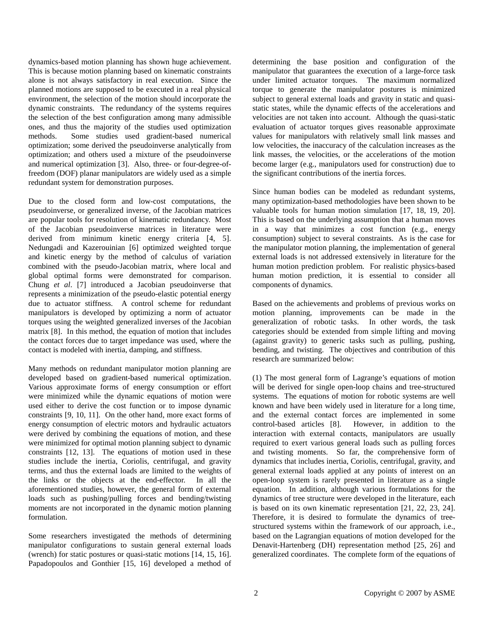dynamics-based motion planning has shown huge achievement. This is because motion planning based on kinematic constraints alone is not always satisfactory in real execution. Since the planned motions are supposed to be executed in a real physical environment, the selection of the motion should incorporate the dynamic constraints. The redundancy of the systems requires the selection of the best configuration among many admissible ones, and thus the majority of the studies used optimization methods. Some studies used gradient-based numerical optimization; some derived the pseudoinverse analytically from optimization; and others used a mixture of the pseudoinverse and numerical optimization [3]. Also, three- or four-degree-offreedom (DOF) planar manipulators are widely used as a simple redundant system for demonstration purposes.

Due to the closed form and low-cost computations, the pseudoinverse, or generalized inverse, of the Jacobian matrices are popular tools for resolution of kinematic redundancy. Most of the Jacobian pseudoinverse matrices in literature were derived from minimum kinetic energy criteria [4, 5]. Nedungadi and Kazerouinian [6] optimized weighted torque and kinetic energy by the method of calculus of variation combined with the pseudo-Jacobian matrix, where local and global optimal forms were demonstrated for comparison. Chung *et al*. [7] introduced a Jacobian pseudoinverse that represents a minimization of the pseudo-elastic potential energy due to actuator stiffness. A control scheme for redundant manipulators is developed by optimizing a norm of actuator torques using the weighted generalized inverses of the Jacobian matrix [8]. In this method, the equation of motion that includes the contact forces due to target impedance was used, where the contact is modeled with inertia, damping, and stiffness.

Many methods on redundant manipulator motion planning are developed based on gradient-based numerical optimization. Various approximate forms of energy consumption or effort were minimized while the dynamic equations of motion were used either to derive the cost function or to impose dynamic constraints [9, 10, 11]. On the other hand, more exact forms of energy consumption of electric motors and hydraulic actuators were derived by combining the equations of motion, and these were minimized for optimal motion planning subject to dynamic constraints [12, 13]. The equations of motion used in these studies include the inertia, Coriolis, centrifugal, and gravity terms, and thus the external loads are limited to the weights of the links or the objects at the end-effector. In all the aforementioned studies, however, the general form of external loads such as pushing/pulling forces and bending/twisting moments are not incorporated in the dynamic motion planning formulation.

Some researchers investigated the methods of determining manipulator configurations to sustain general external loads (wrench) for static postures or quasi-static motions [14, 15, 16]. Papadopoulos and Gonthier [15, 16] developed a method of determining the base position and configuration of the manipulator that guarantees the execution of a large-force task under limited actuator torques. The maximum normalized torque to generate the manipulator postures is minimized subject to general external loads and gravity in static and quasistatic states, while the dynamic effects of the accelerations and velocities are not taken into account. Although the quasi-static evaluation of actuator torques gives reasonable approximate values for manipulators with relatively small link masses and low velocities, the inaccuracy of the calculation increases as the link masses, the velocities, or the accelerations of the motion become larger (e.g., manipulators used for construction) due to the significant contributions of the inertia forces.

Since human bodies can be modeled as redundant systems, many optimization-based methodologies have been shown to be valuable tools for human motion simulation [17, 18, 19, 20]. This is based on the underlying assumption that a human moves in a way that minimizes a cost function (e.g., energy consumption) subject to several constraints. As is the case for the manipulator motion planning, the implementation of general external loads is not addressed extensively in literature for the human motion prediction problem. For realistic physics-based human motion prediction, it is essential to consider all components of dynamics.

Based on the achievements and problems of previous works on motion planning, improvements can be made in the generalization of robotic tasks. In other words, the task categories should be extended from simple lifting and moving (against gravity) to generic tasks such as pulling, pushing, bending, and twisting. The objectives and contribution of this research are summarized below:

(1) The most general form of Lagrange's equations of motion will be derived for single open-loop chains and tree-structured systems. The equations of motion for robotic systems are well known and have been widely used in literature for a long time, and the external contact forces are implemented in some control-based articles [8]. However, in addition to the interaction with external contacts, manipulators are usually required to exert various general loads such as pulling forces and twisting moments. So far, the comprehensive form of dynamics that includes inertia, Coriolis, centrifugal, gravity, and general external loads applied at any points of interest on an open-loop system is rarely presented in literature as a single equation. In addition, although various formulations for the dynamics of tree structure were developed in the literature, each is based on its own kinematic representation [21, 22, 23, 24]. Therefore, it is desired to formulate the dynamics of treestructured systems within the framework of our approach, i.e., based on the Lagrangian equations of motion developed for the Denavit-Hartenberg (DH) representation method [25, 26] and generalized coordinates. The complete form of the equations of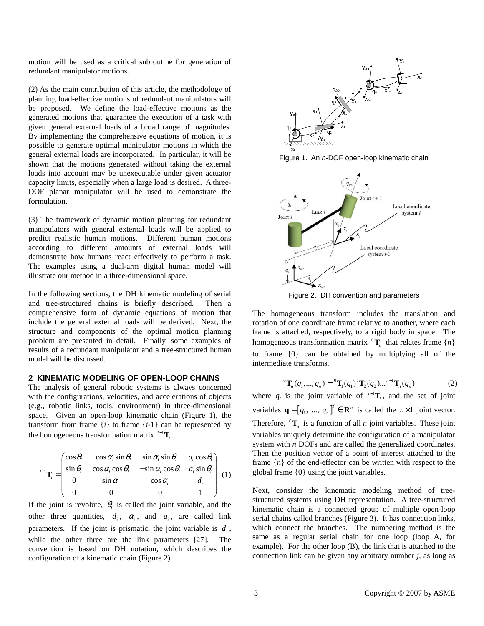motion will be used as a critical subroutine for generation of redundant manipulator motions.

(2) As the main contribution of this article, the methodology of planning load-effective motions of redundant manipulators will be proposed. We define the load-effective motions as the generated motions that guarantee the execution of a task with given general external loads of a broad range of magnitudes. By implementing the comprehensive equations of motion, it is possible to generate optimal manipulator motions in which the general external loads are incorporated. In particular, it will be shown that the motions generated without taking the external loads into account may be unexecutable under given actuator capacity limits, especially when a large load is desired. A three-DOF planar manipulator will be used to demonstrate the formulation.

(3) The framework of dynamic motion planning for redundant manipulators with general external loads will be applied to predict realistic human motions. Different human motions according to different amounts of external loads will demonstrate how humans react effectively to perform a task. The examples using a dual-arm digital human model will illustrate our method in a three-dimensional space.

In the following sections, the DH kinematic modeling of serial and tree-structured chains is briefly described. Then a comprehensive form of dynamic equations of motion that include the general external loads will be derived. Next, the structure and components of the optimal motion planning problem are presented in detail. Finally, some examples of results of a redundant manipulator and a tree-structured human model will be discussed.

## **2 KINEMATIC MODELING OF OPEN-LOOP CHAINS**

The analysis of general robotic systems is always concerned with the configurations, velocities, and accelerations of objects (e.g., robotic links, tools, environment) in three-dimensional space. Given an open-loop kinematic chain (Figure 1), the transform from frame  $\{i\}$  to frame  $\{i-1\}$  can be represented by the homogeneous transformation matrix  $i^{-1}$ **T**<sub>i</sub>.

$$
{}^{i-1}\mathbf{T}_i = \begin{pmatrix} \cos\theta_i & -\cos\alpha_i\sin\theta_i & \sin\alpha_i\sin\theta_i & a_i\cos\theta_i \\ \sin\theta_i & \cos\alpha_i\cos\theta_i & -\sin\alpha_i\cos\theta_i & a_i\sin\theta_i \\ 0 & \sin\alpha_i & \cos\alpha_i & d_i \\ 0 & 0 & 0 & 1 \end{pmatrix} (1)
$$

If the joint is revolute,  $\theta_i$  is called the joint variable, and the other three quantities,  $d_i$ ,  $\alpha_i$ , and  $a_i$ , are called link parameters. If the joint is prismatic, the joint variable is  $d_i$ , while the other three are the link parameters [27]. The convention is based on DH notation, which describes the configuration of a kinematic chain (Figure 2).



Figure 1. An n-DOF open-loop kinematic chain



Figure 2. DH convention and parameters

The homogeneous transform includes the translation and rotation of one coordinate frame relative to another, where each frame is attached, respectively, to a rigid body in space. The homogeneous transformation matrix  ${}^{0}T_{n}$  that relates frame  $\{n\}$ to frame {0} can be obtained by multiplying all of the intermediate transforms.

$$
{}^{0}\mathbf{T}_{n}(q_{1},...,q_{n}) = {}^{0}\mathbf{T}_{1}(q_{1}) {}^{1}\mathbf{T}_{2}(q_{2}) ... {}^{n-1}\mathbf{T}_{n}(q_{n})
$$
 (2)

where  $q_i$  is the joint variable of  $i^{-1}$ **T**<sub>i</sub>, and the set of joint variables  $\mathbf{q} = [q_1, ..., q_n]^T \in \mathbb{R}^n$  is called the  $n \times 1$  joint vector. Therefore,  ${}^{0}T_{n}$  is a function of all *n* joint variables. These joint variables uniquely determine the configuration of a manipulator system with *n* DOFs and are called the generalized coordinates. Then the position vector of a point of interest attached to the frame  ${n}$  of the end-effector can be written with respect to the global frame {0} using the joint variables.

Next, consider the kinematic modeling method of treestructured systems using DH representation. A tree-structured kinematic chain is a connected group of multiple open-loop serial chains called branches (Figure 3). It has connection links, which connect the branches. The numbering method is the same as a regular serial chain for one loop (loop A, for example). For the other loop (B), the link that is attached to the connection link can be given any arbitrary number *j*, as long as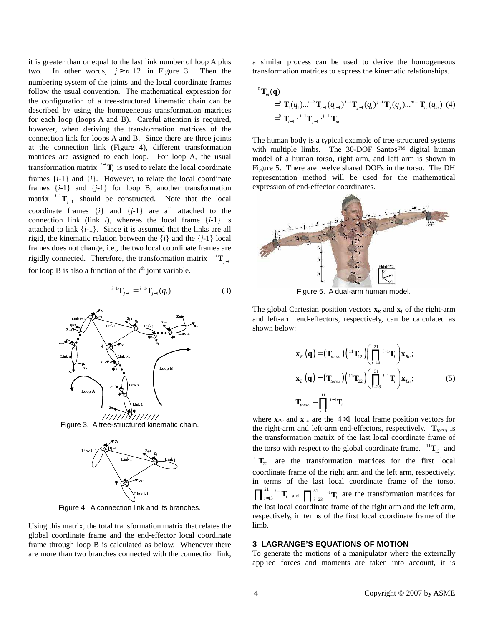it is greater than or equal to the last link number of loop A plus two. In other words,  $j \ge n+2$  in Figure 3. Then the numbering system of the joints and the local coordinate frames follow the usual convention. The mathematical expression for the configuration of a tree-structured kinematic chain can be described by using the homogeneous transformation matrices for each loop (loops A and B). Careful attention is required, however, when deriving the transformation matrices of the connection link for loops A and B. Since there are three joints at the connection link (Figure 4), different transformation matrices are assigned to each loop. For loop A, the usual transformation matrix  $i^{-1}$ **T**<sub>*i*</sub> is used to relate the local coordinate frames  $\{i-1\}$  and  $\{i\}$ . However, to relate the local coordinate frames  $\{i-1\}$  and  $\{j-1\}$  for loop B, another transformation matrix  $\mathbf{r}^{\text{1--1}}\mathbf{T}_{j-1}$  should be constructed. Note that the local coordinate frames {*i*} and {*j*-1} are all attached to the connection link (link  $i$ ), whereas the local frame  $\{i-1\}$  is attached to link {*i*-1}. Since it is assumed that the links are all rigid, the kinematic relation between the {*i*} and the {*j*-1} local frames does not change, i.e., the two local coordinate frames are rigidly connected. Therefore, the transformation matrix  $i^{-1}$ **T**<sub> $j-1$ </sub> for loop B is also a function of the  $i<sup>th</sup>$  joint variable.

$$
{}^{i-1}\mathbf{T}_{j-1} = {}^{i-1}\mathbf{T}_{j-1}(q_i) \tag{3}
$$

![](_page_3_Figure_2.jpeg)

Figure 3. A tree-structured kinematic chain.

![](_page_3_Figure_4.jpeg)

Figure 4. A connection link and its branches.

Using this matrix, the total transformation matrix that relates the global coordinate frame and the end-effector local coordinate frame through loop B is calculated as below. Whenever there are more than two branches connected with the connection link, a similar process can be used to derive the homogeneous transformation matrices to express the kinematic relationships.

$$
\sigma_{\mathbf{T}_m}(\mathbf{q}) = \sigma_{\mathbf{T}_i(q_1)\dots^{i-2}\mathbf{T}_{i-1}(q_{i-1})}^{(i-1)} \mathbf{T}_{j-1}(q_i)^{j-1} \mathbf{T}_j(q_j) \dots^{m-1}\mathbf{T}_m(q_m)
$$
(4)  
=  $\sigma_{\mathbf{T}_{i-1}}^{(i-1)} \cdots^{i-1} \mathbf{T}_{j-1}^{(i-1)} \mathbf{T}_m$ 

The human body is a typical example of tree-structured systems with multiple limbs. The 30-DOF Santos™ digital human model of a human torso, right arm, and left arm is shown in Figure 5. There are twelve shared DOFs in the torso. The DH representation method will be used for the mathematical expression of end-effector coordinates.

![](_page_3_Figure_10.jpeg)

Figure 5. A dual-arm human model.

The global Cartesian position vectors  $\mathbf{x}_R$  and  $\mathbf{x}_L$  of the right-arm and left-arm end-effectors, respectively, can be calculated as shown below:

$$
\mathbf{x}_{R}(\mathbf{q}) = (\mathbf{T}_{torso}) \left( \begin{array}{c} 11 \\ 1 \end{array} \right) \left( \prod_{i=13}^{21} {i-1} \mathbf{T}_{i} \right) \mathbf{x}_{Rn};
$$
\n
$$
\mathbf{x}_{L}(\mathbf{q}) = (\mathbf{T}_{torso}) \left( \begin{array}{c} 11 \\ 1 \end{array} \right) \mathbf{T}_{22} \left( \prod_{i=23}^{31} {i-1} \mathbf{T}_{i} \right) \mathbf{x}_{Ln};
$$
\n
$$
\mathbf{T}_{torso} = \prod_{i=1}^{11} {i-1} \mathbf{T}_{i}
$$
\n(5)

where  $\mathbf{x}_{Rn}$  and  $\mathbf{x}_{Ln}$  are the  $4 \times 1$  local frame position vectors for the right-arm and left-arm end-effectors, respectively. **T***torso* is the transformation matrix of the last local coordinate frame of the torso with respect to the global coordinate frame.  ${}^{11}\mathbf{T}_{12}$  and  ${}^{11}$ **T**<sub>22</sub> are the transformation matrices for the first local coordinate frame of the right arm and the left arm, respectively, in terms of the last local coordinate frame of the torso.  $21 \t i-1$ 13  $\prod_{i=13}^{21}$  <sup>*i*-1</sup>  $\prod_{i=13}^{i=1}$  and  $\prod_{i=23}^{31}$  <sup>*i*-1</sup> 23  $\prod_{i=23}^{31} i^{-1}$ **T**<sub>*i*</sub> are the transformation matrices for the last local coordinate frame of the right arm and the left arm, respectively, in terms of the first local coordinate frame of the limb.

## **3 LAGRANGE'S EQUATIONS OF MOTION**

To generate the motions of a manipulator where the externally applied forces and moments are taken into account, it is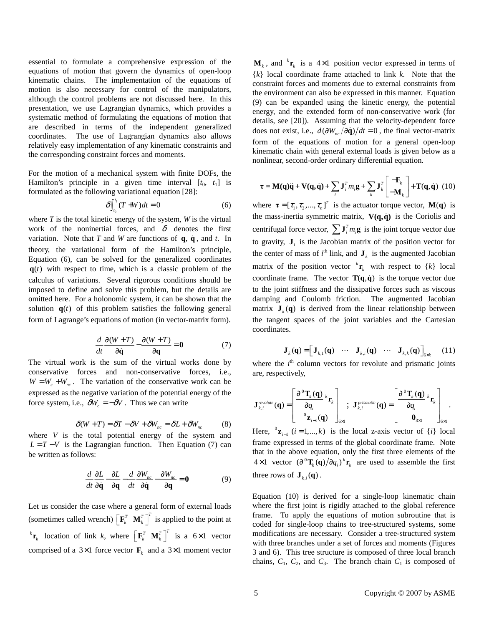essential to formulate a comprehensive expression of the equations of motion that govern the dynamics of open-loop kinematic chains. The implementation of the equations of motion is also necessary for control of the manipulators, although the control problems are not discussed here. In this presentation, we use Lagrangian dynamics, which provides a systematic method of formulating the equations of motion that are described in terms of the independent generalized coordinates. The use of Lagrangian dynamics also allows relatively easy implementation of any kinematic constraints and the corresponding constraint forces and moments.

For the motion of a mechanical system with finite DOFs, the Hamilton's principle in a given time interval  $[t_0, t_1]$  is formulated as the following variational equation [28]:

$$
\delta \int_{t_0}^{t_1} (T + W) dt = 0 \tag{6}
$$

where *T* is the total kinetic energy of the system, *W* is the virtual work of the noninertial forces, and  $\delta$  denotes the first variation. Note that *T* and *W* are functions of  $\bf{q}, \dot{\bf{q}}$ , and *t*. In theory, the variational form of the Hamilton's principle, Equation (6), can be solved for the generalized coordinates  $q(t)$  with respect to time, which is a classic problem of the calculus of variations. Several rigorous conditions should be imposed to define and solve this problem, but the details are omitted here. For a holonomic system, it can be shown that the solution  $q(t)$  of this problem satisfies the following general form of Lagrange's equations of motion (in vector-matrix form).

$$
\frac{d}{dt}\frac{\partial(W+T)}{\partial \dot{\mathbf{q}}} - \frac{\partial(W+T)}{\partial \mathbf{q}} = \mathbf{0}
$$
 (7)

The virtual work is the sum of the virtual works done by conservative forces and non-conservative forces, i.e.,  $W = W_c + W_{nc}$ . The variation of the conservative work can be expressed as the negative variation of the potential energy of the force system, i.e.,  $\delta W_c = -\delta V$ . Thus we can write

$$
\delta(W+T) = \delta T - \delta V + \delta W_{nc} = \delta L + \delta W_{nc}
$$
 (8)

where *V* is the total potential energy of the system and  $L = T - V$  is the Lagrangian function. Then Equation (7) can be written as follows:

$$
\frac{d}{dt}\frac{\partial L}{\partial \dot{\mathbf{q}}}-\frac{\partial L}{\partial \mathbf{q}}-\frac{d}{dt}\frac{\partial W_{nc}}{\partial \dot{\mathbf{q}}}-\frac{\partial W_{nc}}{\partial \mathbf{q}}=\mathbf{0}
$$
(9)

Let us consider the case where a general form of external loads (sometimes called wrench)  $\left[\mathbf{F}_k^T \ \mathbf{M}_k^T \right]^T$  is applied to the point at  $k \mathbf{r}_k$  location of link *k*, where  $\begin{bmatrix} \mathbf{F}_k^T & \mathbf{M}_k^T \end{bmatrix}^T$  is a 6×1 vector comprised of a  $3 \times 1$  force vector  $\mathbf{F}_k$  and a  $3 \times 1$  moment vector

 $M_k$ , and  ${}^k\mathbf{r}_k$  is a 4×1 position vector expressed in terms of {*k*} local coordinate frame attached to link *k*. Note that the constraint forces and moments due to external constraints from the environment can also be expressed in this manner. Equation (9) can be expanded using the kinetic energy, the potential energy, and the extended form of non-conservative work (for details, see [20]). Assuming that the velocity-dependent force does not exist, i.e.,  $d(\partial W_{nc}/\partial \dot{q})/dt = 0$ , the final vector-matrix form of the equations of motion for a general open-loop kinematic chain with general external loads is given below as a nonlinear, second-order ordinary differential equation.

$$
\tau = \mathbf{M}(\mathbf{q})\ddot{\mathbf{q}} + \mathbf{V}(\mathbf{q}, \dot{\mathbf{q}}) + \sum_{i} \mathbf{J}_{i}^{T} m_{i} \mathbf{g} + \sum_{k} \mathbf{J}_{k}^{T} \begin{bmatrix} -\mathbf{F}_{k} \\ -\mathbf{M}_{k} \end{bmatrix} + \mathbf{T}(\mathbf{q}, \dot{\mathbf{q}}) \tag{10}
$$

where  $\boldsymbol{\tau} = [\tau_1, \tau_2, ..., \tau_n]^T$  is the actuator torque vector, **M(q)** is the mass-inertia symmetric matrix,  $V(q, \dot{q})$  is the Coriolis and centrifugal force vector,  $\sum \mathbf{J}_i^T m_i \mathbf{g}$  is the joint torque vector due to gravity,  $J_i$  is the Jacobian matrix of the position vector for the center of mass of  $i^{\text{th}}$  link, and  $\mathbf{J}_k$  is the augmented Jacobian matrix of the position vector  ${}^k$ **r**<sub>k</sub> with respect to  $\{k\}$  local coordinate frame. The vector  $\mathbf{T}(\mathbf{q}, \dot{\mathbf{q}})$  is the torque vector due to the joint stiffness and the dissipative forces such as viscous damping and Coulomb friction. The augmented Jacobian matrix  $J_k(q)$  is derived from the linear relationship between the tangent spaces of the joint variables and the Cartesian coordinates.

$$
\mathbf{J}_{k}(\mathbf{q}) = \begin{bmatrix} \mathbf{J}_{k,1}(\mathbf{q}) & \cdots & \mathbf{J}_{k,i}(\mathbf{q}) & \cdots & \mathbf{J}_{k,k}(\mathbf{q}) \end{bmatrix}_{6 \times k} \qquad (11)
$$

where the  $i<sup>th</sup>$  column vectors for revolute and prismatic joints are, respectively,

$$
\mathbf{J}_{k,i}^{revolute}(\mathbf{q}) = \begin{bmatrix} \frac{\partial^0 \mathbf{T}_k(\mathbf{q})}{\partial q_i} {^k \mathbf{r}_k} \\ \frac{\partial^0 \mathbf{T}_k(\mathbf{q})}{\partial q_i} \end{bmatrix}_{6 \times 1}; \ \ \mathbf{J}_{k,i}^{prismatch}(\mathbf{q}) = \begin{bmatrix} \frac{\partial^0 \mathbf{T}_k(\mathbf{q})}{\partial q_i} {^k \mathbf{r}_k} \\ \frac{\partial^0 \mathbf{T}_k(\mathbf{q})}{\partial q_i} {^k \mathbf{r}_k} \end{bmatrix}_{6 \times 1}.
$$

Here,  ${}^{0}$ **z**<sub>*i*-1</sub></sub> (*i* = 1,...,*k*) is the local z-axis vector of {*i*} local frame expressed in terms of the global coordinate frame. Note that in the above equation, only the first three elements of the 4 × 1 vector  $(\partial^0 \mathbf{T}_k(\mathbf{q})/\partial q_i)^k \mathbf{r}_k$  are used to assemble the first three rows of  $J_{k,i}(q)$ .

Equation (10) is derived for a single-loop kinematic chain where the first joint is rigidly attached to the global reference frame. To apply the equations of motion subroutine that is coded for single-loop chains to tree-structured systems, some modifications are necessary. Consider a tree-structured system with three branches under a set of forces and moments (Figures 3 and 6). This tree structure is composed of three local branch chains,  $C_1$ ,  $C_2$ , and  $C_3$ . The branch chain  $C_1$  is composed of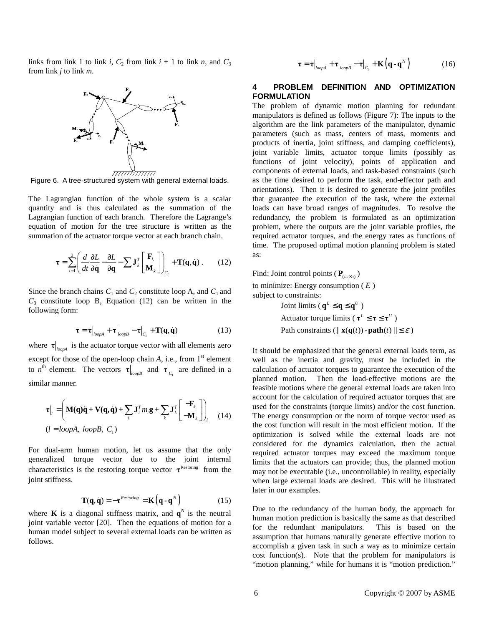links from link 1 to link *i*,  $C_2$  from link  $i + 1$  to link *n*, and  $C_3$ from link *j* to link *m*.

![](_page_5_Figure_1.jpeg)

Figure 6. A tree-structured system with general external loads.

The Lagrangian function of the whole system is a scalar quantity and is thus calculated as the summation of the Lagrangian function of each branch. Therefore the Lagrange's equation of motion for the tree structure is written as the summation of the actuator torque vector at each branch chain.

$$
\boldsymbol{\tau} = \sum_{i=1}^{3} \left( \frac{d}{dt} \frac{\partial L}{\partial \dot{\mathbf{q}}} - \frac{\partial L}{\partial \mathbf{q}} - \sum \mathbf{J}_{k}^{T} \begin{bmatrix} \mathbf{F}_{k} \\ \mathbf{M}_{k} \end{bmatrix} \right)_{C_{i}} + \mathbf{T}(\mathbf{q}, \dot{\mathbf{q}}) . \qquad (12)
$$

Since the branch chains  $C_1$  and  $C_2$  constitute loop A, and  $C_1$  and  $C_3$  constitute loop B, Equation (12) can be written in the following form:

$$
\boldsymbol{\tau} = \boldsymbol{\tau}\big|_{loopA} + \boldsymbol{\tau}\big|_{loopB} - \boldsymbol{\tau}\big|_{C_1} + \mathbf{T}(\mathbf{q}, \dot{\mathbf{q}})
$$
(13)

where  $\tau|_{\text{loopA}}$  is the actuator torque vector with all elements zero except for those of the open-loop chain *A*, i.e., from 1<sup>st</sup> element to *n*<sup>th</sup> element. The vectors  $\tau|_{loopB}$  and  $\tau|_{C_1}$  are defined in a similar manner.

$$
\tau|_{l} = \left(\mathbf{M}(\mathbf{q})\ddot{\mathbf{q}} + \mathbf{V}(\mathbf{q}, \dot{\mathbf{q}}) + \sum_{i} \mathbf{J}_{i}^{T} m_{i} \mathbf{g} + \sum_{k} \mathbf{J}_{k}^{T} \begin{bmatrix} -\mathbf{F}_{k} \\ -\mathbf{M}_{k} \end{bmatrix}\right)_{l}
$$
(14)  
(l = loopA, loopB, C<sub>1</sub>)

For dual-arm human motion, let us assume that the only generalized torque vector due to the joint internal characteristics is the restoring torque vector  $\tau^{\text{Restoring}}$  from the joint stiffness.

$$
\mathbf{T}(\mathbf{q}, \dot{\mathbf{q}}) = -\boldsymbol{\tau}^{Resoring} = \mathbf{K}\left(\mathbf{q} \cdot \mathbf{q}^{N}\right)
$$
(15)

where **K** is a diagonal stiffness matrix, and  $\mathbf{q}^N$  is the neutral joint variable vector [20]. Then the equations of motion for a human model subject to several external loads can be written as follows.

$$
\boldsymbol{\tau} = \boldsymbol{\tau}\big|_{loopA} + \boldsymbol{\tau}\big|_{loopB} - \boldsymbol{\tau}\big|_{C_1} + \mathbf{K}\left(\mathbf{q} \cdot \mathbf{q}^N\right) \tag{16}
$$

#### **4 PROBLEM DEFINITION AND OPTIMIZATION FORMULATION**

The problem of dynamic motion planning for redundant manipulators is defined as follows (Figure 7): The inputs to the algorithm are the link parameters of the manipulator, dynamic parameters (such as mass, centers of mass, moments and products of inertia, joint stiffness, and damping coefficients), joint variable limits, actuator torque limits (possibly as functions of joint velocity), points of application and components of external loads, and task-based constraints (such as the time desired to perform the task, end-effector path and orientations). Then it is desired to generate the joint profiles that guarantee the execution of the task, where the external loads can have broad ranges of magnitudes. To resolve the redundancy, the problem is formulated as an optimization problem, where the outputs are the joint variable profiles, the required actuator torques, and the energy rates as functions of time. The proposed optimal motion planning problem is stated as:

Find: Joint control points ( $\mathbf{P}_{(nc \times n)}$ )

to minimize: Energy consumption ( *E* ) subject to constraints:

Joint limits ( $q^L \leq q \leq q^U$ ) Actuator torque limits ( $\tau^L \leq \tau \leq \tau^U$ ) Path constraints  $(|| \mathbf{x}(\mathbf{q}(t)) - \mathbf{path}(t) || \leq \varepsilon)$ 

It should be emphasized that the general external loads term, as well as the inertia and gravity, must be included in the calculation of actuator torques to guarantee the execution of the planned motion. Then the load-effective motions are the feasible motions where the general external loads are taken into account for the calculation of required actuator torques that are used for the constraints (torque limits) and/or the cost function. The energy consumption or the norm of torque vector used as the cost function will result in the most efficient motion. If the optimization is solved while the external loads are not considered for the dynamics calculation, then the actual required actuator torques may exceed the maximum torque limits that the actuators can provide; thus, the planned motion may not be executable (i.e., uncontrollable) in reality, especially when large external loads are desired. This will be illustrated later in our examples.

Due to the redundancy of the human body, the approach for human motion prediction is basically the same as that described for the redundant manipulators. This is based on the assumption that humans naturally generate effective motion to accomplish a given task in such a way as to minimize certain cost function(s). Note that the problem for manipulators is "motion planning," while for humans it is "motion prediction."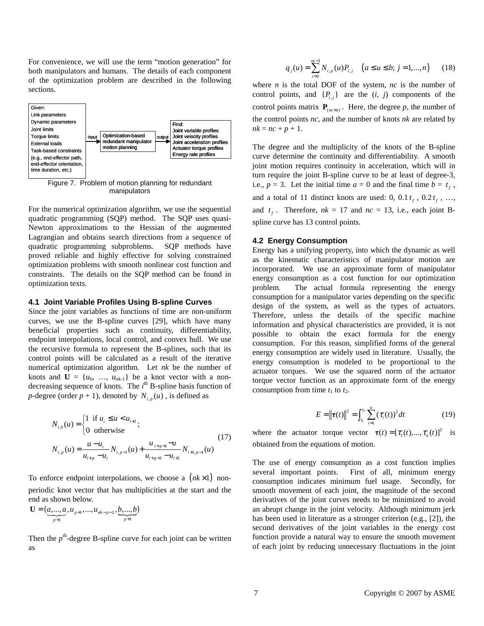For convenience, we will use the term "motion generation" for both manipulators and humans. The details of each component of the optimization problem are described in the following sections.

![](_page_6_Figure_1.jpeg)

Figure 7. Problem of motion planning for redundant manipulators

For the numerical optimization algorithm, we use the sequential quadratic programming (SQP) method. The SQP uses quasi-Newton approximations to the Hessian of the augmented Lagrangian and obtains search directions from a sequence of quadratic programming subproblems. SQP methods have proved reliable and highly effective for solving constrained optimization problems with smooth nonlinear cost function and constraints. The details on the SQP method can be found in optimization texts.

#### **4.1 Joint Variable Profiles Using B-spline Curves**

Since the joint variables as functions of time are non-uniform curves, we use the B-spline curves [29], which have many beneficial properties such as continuity, differentiability, endpoint interpolations, local control, and convex hull. We use the recursive formula to represent the B-splines, such that its control points will be calculated as a result of the iterative numerical optimization algorithm. Let *nk* be the number of knots and  $U = \{u_0, \ldots, u_{nk-1}\}\$ be a knot vector with a nondecreasing sequence of knots. The *i*<sup>th</sup> B-spline basis function of *p*-degree (order  $p + 1$ ), denoted by  $N_{i,p}(u)$ , is defined as

$$
N_{i,0}(u) = \begin{cases} 1 & \text{if } u_i \le u < u_{i+1} \\ 0 & \text{otherwise} \end{cases}
$$
 (17)  

$$
N_{i,p}(u) = \frac{u - u_i}{u_{i+p} - u_i} N_{i,p-1}(u) + \frac{u_{i+p+1} - u}{u_{i+p+1} - u_{i+1}} N_{i+1,p-1}(u)
$$

To enforce endpoint interpolations, we choose a (*nk* ×1) nonperiodic knot vector that has multiplicities at the start and the end as shown below.

$$
\mathbf{U} = \{ \underbrace{a, ..., a}_{p+1}, u_{p+1}, ..., u_{nk-p-2}, \underbrace{b, ..., b}_{p+1} \}
$$

Then the  $p^{\text{th}}$ -degree B-spline curve for each joint can be written as

$$
q_j(u) = \sum_{i=0}^{nc-1} N_{i,p}(u) P_{i,j} \quad (a \le u \le b; j = 1,...,n)
$$
 (18)

where *n* is the total DOF of the system, *nc* is the number of control points, and  $\{P_{i,j}\}\$  are the  $(i, j)$  components of the control points matrix  $P_{(nc \times n)}$ . Here, the degree p, the number of the control points *nc*, and the number of knots *nk* are related by  $nk = nc + p + 1$ .

The degree and the multiplicity of the knots of the B-spline curve determine the continuity and differentiability. A smooth joint motion requires continuity in acceleration, which will in turn require the joint B-spline curve to be at least of degree-3, i.e.,  $p = 3$ . Let the initial time  $a = 0$  and the final time  $b = t_f$ , and a total of 11 distinct knots are used: 0,  $0.1 t_f$ ,  $0.2 t_f$ , ..., and  $t_f$ . Therefore,  $nk = 17$  and  $nc = 13$ , i.e., each joint Bspline curve has 13 control points.

## **4.2 Energy Consumption**

Energy has a unifying property, into which the dynamic as well as the kinematic characteristics of manipulator motion are incorporated. We use an approximate form of manipulator energy consumption as a cost function for our optimization problem. The actual formula representing the energy consumption for a manipulator varies depending on the specific design of the system, as well as the types of actuators. Therefore, unless the details of the specific machine information and physical characteristics are provided, it is not possible to obtain the exact formula for the energy consumption. For this reason, simplified forms of the general energy consumption are widely used in literature. Usually, the energy consumption is modeled to be proportional to the actuator torques. We use the squared norm of the actuator torque vector function as an approximate form of the energy consumption from time  $t_1$  to  $t_2$ .

$$
E = \left\| \mathbf{\tau}(t) \right\|^2 = \int_{t_1}^{t_2} \sum_{i=1}^n \left( \tau_i(t) \right)^2 dt \tag{19}
$$

where the actuator torque vector  $\boldsymbol{\tau}(t) = [\tau_1(t), ..., \tau_n(t)]^T$  is obtained from the equations of motion.

The use of energy consumption as a cost function implies several important points. First of all, minimum energy consumption indicates minimum fuel usage. Secondly, for smooth movement of each joint, the magnitude of the second derivatives of the joint curves needs to be minimized to avoid an abrupt change in the joint velocity. Although minimum jerk has been used in literature as a stronger criterion (e.g., [2]), the second derivatives of the joint variables in the energy cost function provide a natural way to ensure the smooth movement of each joint by reducing unnecessary fluctuations in the joint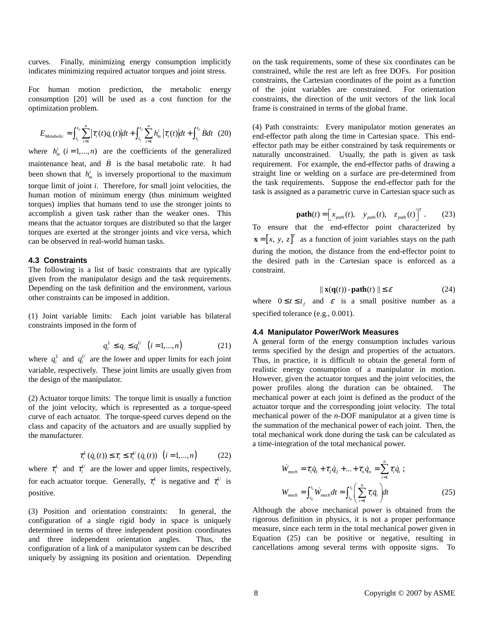curves. Finally, minimizing energy consumption implicitly indicates minimizing required actuator torques and joint stress.

For human motion prediction, the metabolic energy consumption [20] will be used as a cost function for the optimization problem.

$$
E_{\text{Methodic}} \approx \int_{t_1}^{t_2} \sum_{i=1}^n \left| \tau_i(t) \dot{q}_i(t) \right| dt + \int_{t_1}^{t_2} \sum_{i=1}^n h_m^i \left| \tau_i(t) \right| dt + \int_{t_1}^{t_2} \dot{B} dt \quad (20)
$$

where  $h_m^i$  ( $i = 1,..., n$ ) are the coefficients of the generalized maintenance heat, and  $\dot{B}$  is the basal metabolic rate. It had been shown that  $h_m^i$  is inversely proportional to the maximum torque limit of joint *i*. Therefore, for small joint velocities, the human motion of minimum energy (thus minimum weighted torques) implies that humans tend to use the stronger joints to accomplish a given task rather than the weaker ones. This means that the actuator torques are distributed so that the larger torques are exerted at the stronger joints and vice versa, which can be observed in real-world human tasks.

#### **4.3 Constraints**

The following is a list of basic constraints that are typically given from the manipulator design and the task requirements. Depending on the task definition and the environment, various other constraints can be imposed in addition.

(1) Joint variable limits: Each joint variable has bilateral constraints imposed in the form of

$$
q_i^L \le q_i \le q_i^U \quad (i = 1, ..., n)
$$
 (21)

where  $q_i^L$  and  $q_i^U$  are the lower and upper limits for each joint variable, respectively. These joint limits are usually given from the design of the manipulator.

(2) Actuator torque limits: The torque limit is usually a function of the joint velocity, which is represented as a torque-speed curve of each actuator. The torque-speed curves depend on the class and capacity of the actuators and are usually supplied by the manufacturer.

$$
\tau_i^L(\dot{q}_i(t)) \le \tau_i \le \tau_i^U(\dot{q}_i(t)) \quad (i = 1, ..., n) \tag{22}
$$

where  $\tau_i^L$  and  $\tau_i^U$  are the lower and upper limits, respectively, for each actuator torque. Generally,  $\tau_i^L$  is negative and  $\tau_i^U$  is positive.

(3) Position and orientation constraints: In general, the configuration of a single rigid body in space is uniquely determined in terms of three independent position coordinates and three independent orientation angles. Thus, the configuration of a link of a manipulator system can be described uniquely by assigning its position and orientation. Depending on the task requirements, some of these six coordinates can be constrained, while the rest are left as free DOFs. For position constraints, the Cartesian coordinates of the point as a function of the joint variables are constrained. For orientation constraints, the direction of the unit vectors of the link local frame is constrained in terms of the global frame.

(4) Path constraints: Every manipulator motion generates an end-effector path along the time in Cartesian space. This endeffector path may be either constrained by task requirements or naturally unconstrained. Usually, the path is given as task requirement. For example, the end-effector paths of drawing a straight line or welding on a surface are pre-determined from the task requirements. Suppose the end-effector path for the task is assigned as a parametric curve in Cartesian space such as

$$
\mathbf{path}(t) = \begin{bmatrix} x_{\text{path}}(t), & y_{\text{path}}(t), & z_{\text{path}}(t) \end{bmatrix}^T. \tag{23}
$$

To ensure that the end-effector point characterized by  $\mathbf{x} = \begin{bmatrix} x, y, z \end{bmatrix}^T$  as a function of joint variables stays on the path during the motion, the distance from the end-effector point to the desired path in the Cartesian space is enforced as a constraint.

$$
\|\mathbf{x}(\mathbf{q}(t)) - \mathbf{path}(t)\| \le \varepsilon \tag{24}
$$

where  $0 \le t \le t_f$  and  $\varepsilon$  is a small positive number as a specified tolerance (e.g., 0.001).

#### **4.4 Manipulator Power/Work Measures**

A general form of the energy consumption includes various terms specified by the design and properties of the actuators. Thus, in practice, it is difficult to obtain the general form of realistic energy consumption of a manipulator in motion. However, given the actuator torques and the joint velocities, the power profiles along the duration can be obtained. The mechanical power at each joint is defined as the product of the actuator torque and the corresponding joint velocity. The total mechanical power of the *n*-DOF manipulator at a given time is the summation of the mechanical power of each joint. Then, the total mechanical work done during the task can be calculated as a time-integration of the total mechanical power.

$$
\dot{W}_{mech} = \tau_1 \dot{q}_1 + \tau_2 \dot{q}_2 + \dots + \tau_n \dot{q}_n = \sum_{i=1}^n \tau_i \dot{q}_i ;
$$
\n
$$
W_{mech} = \int_{t_0}^{t_1} \dot{W}_{mech} dt = \int_{t_0}^{t_1} \left( \sum_{i=1}^n \tau_i \dot{q}_i \right) dt
$$
\n(25)

Although the above mechanical power is obtained from the rigorous definition in physics, it is not a proper performance measure, since each term in the total mechanical power given in Equation (25) can be positive or negative, resulting in cancellations among several terms with opposite signs. To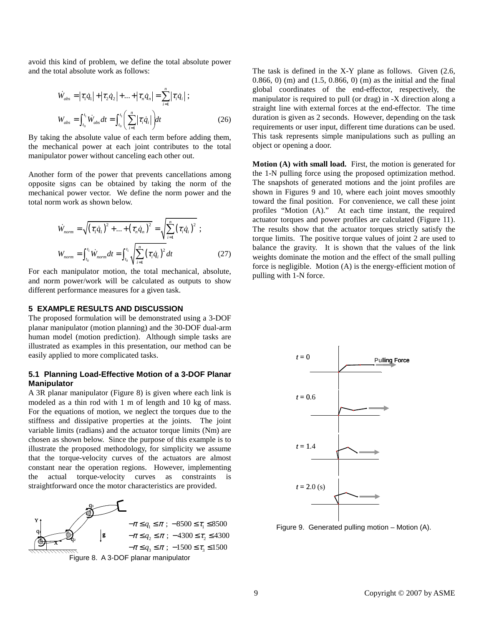avoid this kind of problem, we define the total absolute power and the total absolute work as follows:

$$
\dot{W}_{abs} = |\tau_1 \dot{q}_1| + |\tau_2 \dot{q}_2| + ... + |\tau_n \dot{q}_n| = \sum_{i=1}^n |\tau_i \dot{q}_i| ;
$$
\n
$$
W_{abs} = \int_{t_0}^{t_1} \dot{W}_{abs} dt = \int_{t_0}^{t_1} \left( \sum_{i=1}^n |\tau_i \dot{q}_i| \right) dt
$$
\n(26)

By taking the absolute value of each term before adding them, the mechanical power at each joint contributes to the total manipulator power without canceling each other out.

Another form of the power that prevents cancellations among opposite signs can be obtained by taking the norm of the mechanical power vector. We define the norm power and the total norm work as shown below.

$$
\dot{W}_{norm} = \sqrt{(\tau_1 \dot{q}_1)^2 + ... + (\tau_n \dot{q}_n)^2} = \sqrt{\sum_{i=1}^n (\tau_i \dot{q}_i)^2} ;
$$
\n
$$
W_{norm} = \int_{t_0}^{t_1} \dot{W}_{norm} dt = \int_{t_0}^{t_1} \sqrt{\sum_{i=1}^n (\tau_i \dot{q}_i)^2} dt
$$
\n(27)

For each manipulator motion, the total mechanical, absolute, and norm power/work will be calculated as outputs to show different performance measures for a given task.

#### **5 EXAMPLE RESULTS AND DISCUSSION**

The proposed formulation will be demonstrated using a 3-DOF planar manipulator (motion planning) and the 30-DOF dual-arm human model (motion prediction). Although simple tasks are illustrated as examples in this presentation, our method can be easily applied to more complicated tasks.

## **5.1 Planning Load-Effective Motion of a 3-DOF Planar Manipulator**

A 3R planar manipulator (Figure 8) is given where each link is modeled as a thin rod with 1 m of length and 10 kg of mass. For the equations of motion, we neglect the torques due to the stiffness and dissipative properties at the joints. The joint variable limits (radians) and the actuator torque limits (Nm) are chosen as shown below. Since the purpose of this example is to illustrate the proposed methodology, for simplicity we assume that the torque-velocity curves of the actuators are almost constant near the operation regions. However, implementing the actual torque-velocity curves as constraints is straightforward once the motor characteristics are provided.

![](_page_8_Figure_10.jpeg)

The task is defined in the X-Y plane as follows. Given (2.6, 0.866, 0) (m) and (1.5, 0.866, 0) (m) as the initial and the final global coordinates of the end-effector, respectively, the manipulator is required to pull (or drag) in -X direction along a straight line with external forces at the end-effector. The time duration is given as 2 seconds. However, depending on the task requirements or user input, different time durations can be used. This task represents simple manipulations such as pulling an object or opening a door.

**Motion (A) with small load.** First, the motion is generated for the 1-N pulling force using the proposed optimization method. The snapshots of generated motions and the joint profiles are shown in Figures 9 and 10, where each joint moves smoothly toward the final position. For convenience, we call these joint profiles "Motion (A)." At each time instant, the required actuator torques and power profiles are calculated (Figure 11). The results show that the actuator torques strictly satisfy the torque limits. The positive torque values of joint 2 are used to balance the gravity. It is shown that the values of the link weights dominate the motion and the effect of the small pulling force is negligible. Motion (A) is the energy-efficient motion of pulling with 1-N force.

![](_page_8_Figure_13.jpeg)

Figure 9. Generated pulling motion – Motion (A).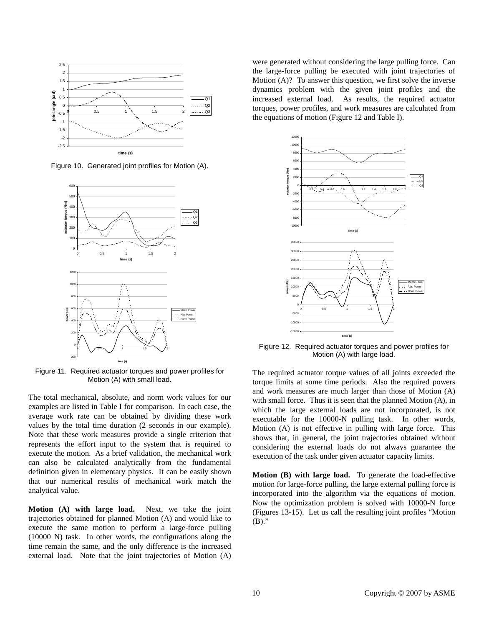![](_page_9_Figure_0.jpeg)

Figure 10. Generated joint profiles for Motion (A).

![](_page_9_Figure_2.jpeg)

Figure 11. Required actuator torques and power profiles for Motion (A) with small load.

The total mechanical, absolute, and norm work values for our examples are listed in Table I for comparison. In each case, the average work rate can be obtained by dividing these work values by the total time duration (2 seconds in our example). Note that these work measures provide a single criterion that represents the effort input to the system that is required to execute the motion. As a brief validation, the mechanical work can also be calculated analytically from the fundamental definition given in elementary physics. It can be easily shown that our numerical results of mechanical work match the analytical value.

**Motion (A) with large load.** Next, we take the joint trajectories obtained for planned Motion (A) and would like to execute the same motion to perform a large-force pulling (10000 N) task. In other words, the configurations along the time remain the same, and the only difference is the increased external load. Note that the joint trajectories of Motion (A) were generated without considering the large pulling force. Can the large-force pulling be executed with joint trajectories of Motion (A)? To answer this question, we first solve the inverse dynamics problem with the given joint profiles and the increased external load. As results, the required actuator torques, power profiles, and work measures are calculated from the equations of motion (Figure 12 and Table I).

![](_page_9_Figure_7.jpeg)

Figure 12. Required actuator torques and power profiles for Motion (A) with large load.

The required actuator torque values of all joints exceeded the torque limits at some time periods. Also the required powers and work measures are much larger than those of Motion (A) with small force. Thus it is seen that the planned Motion (A), in which the large external loads are not incorporated, is not executable for the 10000-N pulling task. In other words, Motion (A) is not effective in pulling with large force. This shows that, in general, the joint trajectories obtained without considering the external loads do not always guarantee the execution of the task under given actuator capacity limits.

**Motion (B) with large load.** To generate the load-effective motion for large-force pulling, the large external pulling force is incorporated into the algorithm via the equations of motion. Now the optimization problem is solved with 10000-N force (Figures 13-15). Let us call the resulting joint profiles "Motion  $(B)$ ."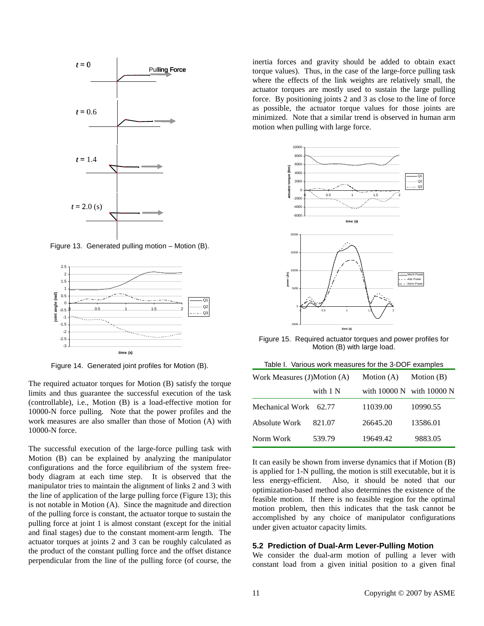![](_page_10_Figure_0.jpeg)

Figure 13. Generated pulling motion – Motion (B).

![](_page_10_Figure_2.jpeg)

Figure 14. Generated joint profiles for Motion (B).

The required actuator torques for Motion (B) satisfy the torque limits and thus guarantee the successful execution of the task (controllable), i.e., Motion (B) is a load-effective motion for 10000-N force pulling. Note that the power profiles and the work measures are also smaller than those of Motion (A) with 10000-N force.

The successful execution of the large-force pulling task with Motion (B) can be explained by analyzing the manipulator configurations and the force equilibrium of the system freebody diagram at each time step. It is observed that the manipulator tries to maintain the alignment of links 2 and 3 with the line of application of the large pulling force (Figure 13); this is not notable in Motion (A). Since the magnitude and direction of the pulling force is constant, the actuator torque to sustain the pulling force at joint 1 is almost constant (except for the initial and final stages) due to the constant moment-arm length. The actuator torques at joints 2 and 3 can be roughly calculated as the product of the constant pulling force and the offset distance perpendicular from the line of the pulling force (of course, the inertia forces and gravity should be added to obtain exact torque values). Thus, in the case of the large-force pulling task where the effects of the link weights are relatively small, the actuator torques are mostly used to sustain the large pulling force. By positioning joints 2 and 3 as close to the line of force as possible, the actuator torque values for those joints are minimized. Note that a similar trend is observed in human arm motion when pulling with large force.

![](_page_10_Figure_7.jpeg)

Figure 15. Required actuator torques and power profiles for Motion (B) with large load.

| Table I. Various work measures for the 3-DOF examples |          |              |              |
|-------------------------------------------------------|----------|--------------|--------------|
| Work Measures (J)Motion (A)                           |          | Motion $(A)$ | Motion (B)   |
|                                                       | with 1 N | with 10000 N | with 10000 N |
| Mechanical Work                                       | 62.77    | 11039.00     | 10990.55     |
| Absolute Work                                         | 821.07   | 26645.20     | 13586.01     |
| Norm Work                                             | 539.79   | 19649.42     | 9883.05      |

It can easily be shown from inverse dynamics that if Motion (B) is applied for 1-N pulling, the motion is still executable, but it is less energy-efficient. Also, it should be noted that our optimization-based method also determines the existence of the feasible motion. If there is no feasible region for the optimal motion problem, then this indicates that the task cannot be accomplished by any choice of manipulator configurations under given actuator capacity limits.

## **5.2 Prediction of Dual-Arm Lever-Pulling Motion**

We consider the dual-arm motion of pulling a lever with constant load from a given initial position to a given final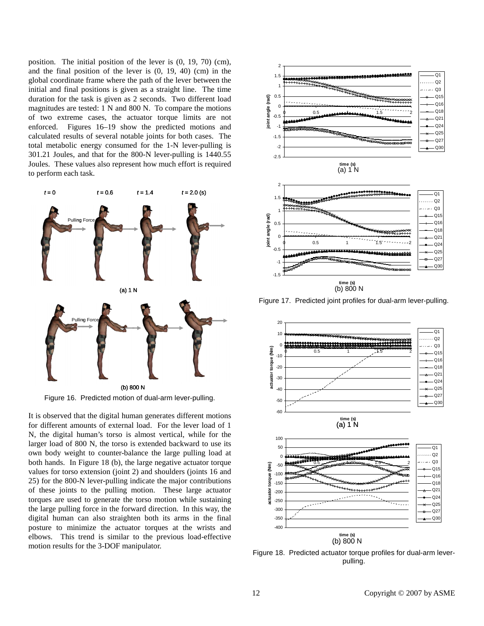position. The initial position of the lever is (0, 19, 70) (cm), and the final position of the lever is (0, 19, 40) (cm) in the global coordinate frame where the path of the lever between the initial and final positions is given as a straight line. The time duration for the task is given as 2 seconds. Two different load magnitudes are tested: 1 N and 800 N. To compare the motions of two extreme cases, the actuator torque limits are not enforced. Figures 16–19 show the predicted motions and calculated results of several notable joints for both cases. The total metabolic energy consumed for the 1-N lever-pulling is 301.21 Joules, and that for the 800-N lever-pulling is 1440.55 Joules. These values also represent how much effort is required to perform each task.

![](_page_11_Figure_1.jpeg)

Figure 16. Predicted motion of dual-arm lever-pulling.

It is observed that the digital human generates different motions for different amounts of external load. For the lever load of 1 N, the digital human's torso is almost vertical, while for the larger load of 800 N, the torso is extended backward to use its own body weight to counter-balance the large pulling load at both hands. In Figure 18 (b), the large negative actuator torque values for torso extension (joint 2) and shoulders (joints 16 and 25) for the 800-N lever-pulling indicate the major contributions of these joints to the pulling motion. These large actuator torques are used to generate the torso motion while sustaining the large pulling force in the forward direction. In this way, the digital human can also straighten both its arms in the final posture to minimize the actuator torques at the wrists and elbows. This trend is similar to the previous load-effective motion results for the 3-DOF manipulator.

![](_page_11_Figure_4.jpeg)

Figure 17. Predicted joint profiles for dual-arm lever-pulling.

![](_page_11_Figure_6.jpeg)

Figure 18. Predicted actuator torque profiles for dual-arm leverpulling.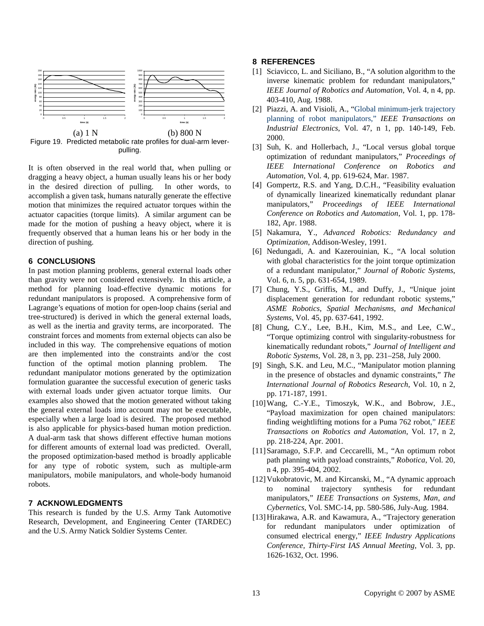![](_page_12_Figure_0.jpeg)

Figure 19. Predicted metabolic rate profiles for dual-arm leverpulling.

It is often observed in the real world that, when pulling or dragging a heavy object, a human usually leans his or her body in the desired direction of pulling. In other words, to accomplish a given task, humans naturally generate the effective motion that minimizes the required actuator torques within the actuator capacities (torque limits). A similar argument can be made for the motion of pushing a heavy object, where it is frequently observed that a human leans his or her body in the direction of pushing.

## **6 CONCLUSIONS**

In past motion planning problems, general external loads other than gravity were not considered extensively. In this article, a method for planning load-effective dynamic motions for redundant manipulators is proposed. A comprehensive form of Lagrange's equations of motion for open-loop chains (serial and tree-structured) is derived in which the general external loads, as well as the inertia and gravity terms, are incorporated. The constraint forces and moments from external objects can also be included in this way. The comprehensive equations of motion are then implemented into the constraints and/or the cost function of the optimal motion planning problem. The redundant manipulator motions generated by the optimization formulation guarantee the successful execution of generic tasks with external loads under given actuator torque limits. Our examples also showed that the motion generated without taking the general external loads into account may not be executable, especially when a large load is desired. The proposed method is also applicable for physics-based human motion prediction. A dual-arm task that shows different effective human motions for different amounts of external load was predicted. Overall, the proposed optimization-based method is broadly applicable for any type of robotic system, such as multiple-arm manipulators, mobile manipulators, and whole-body humanoid robots.

## **7 ACKNOWLEDGMENTS**

This research is funded by the U.S. Army Tank Automotive Research, Development, and Engineering Center (TARDEC) and the U.S. Army Natick Soldier Systems Center.

#### **8 REFERENCES**

- [1] Sciavicco, L. and Siciliano, B., "A solution algorithm to the inverse kinematic problem for redundant manipulators," *IEEE Journal of Robotics and Automation*, Vol. 4, n 4, pp. 403-410, Aug. 1988.
- [2] Piazzi, A. and Visioli, A., "Global minimum-jerk trajectory planning of robot manipulators," *IEEE Transactions on Industrial Electronics*, Vol. 47, n 1, pp. 140-149, Feb. 2000.
- [3] Suh, K. and Hollerbach, J., "Local versus global torque optimization of redundant manipulators," *Proceedings of IEEE International Conference on Robotics and Automation*, Vol. 4, pp. 619-624, Mar. 1987.
- [4] Gompertz, R.S. and Yang, D.C.H., "Feasibility evaluation of dynamically linearized kinematically redundant planar manipulators," *Proceedings of IEEE International Conference on Robotics and Automation*, Vol. 1, pp. 178- 182, Apr. 1988.
- [5] Nakamura, Y., *Advanced Robotics: Redundancy and Optimization*, Addison-Wesley, 1991.
- [6] Nedungadi, A. and Kazerouinian, K., "A local solution with global characteristics for the joint torque optimization of a redundant manipulator," *Journal of Robotic Systems*, Vol. 6, n. 5, pp. 631-654, 1989.
- [7] Chung, Y.S., Griffis, M., and Duffy, J., "Unique joint displacement generation for redundant robotic systems," *ASME Robotics, Spatial Mechanisms, and Mechanical Systems*, Vol. 45, pp. 637-641, 1992.
- [8] Chung, C.Y., Lee, B.H., Kim, M.S., and Lee, C.W., "Torque optimizing control with singularity-robustness for kinematically redundant robots," *Journal of Intelligent and Robotic Systems*, Vol. 28, n 3, pp. 231–258, July 2000.
- [9] Singh, S.K. and Leu, M.C., "Manipulator motion planning in the presence of obstacles and dynamic constraints," *The International Journal of Robotics Research*, Vol. 10, n 2, pp. 171-187, 1991.
- [10]Wang, C.-Y.E., Timoszyk, W.K., and Bobrow, J.E., "Payload maximization for open chained manipulators: finding weightlifting motions for a Puma 762 robot," *IEEE Transactions on Robotics and Automation*, Vol. 17, n 2, pp. 218-224, Apr. 2001.
- [11]Saramago, S.F.P. and Ceccarelli, M., "An optimum robot path planning with payload constraints," *Robotica*, Vol. 20, n 4, pp. 395-404, 2002.
- [12] Vukobratovic, M. and Kircanski, M., "A dynamic approach to nominal trajectory synthesis for redundant manipulators," *IEEE Transactions on Systems, Man, and Cybernetics*, Vol. SMC-14, pp. 580-586, July-Aug. 1984.
- [13]Hirakawa, A.R. and Kawamura, A., "Trajectory generation for redundant manipulators under optimization of consumed electrical energy," *IEEE Industry Applications Conference, Thirty-First IAS Annual Meeting*, Vol. 3, pp. 1626-1632, Oct. 1996.